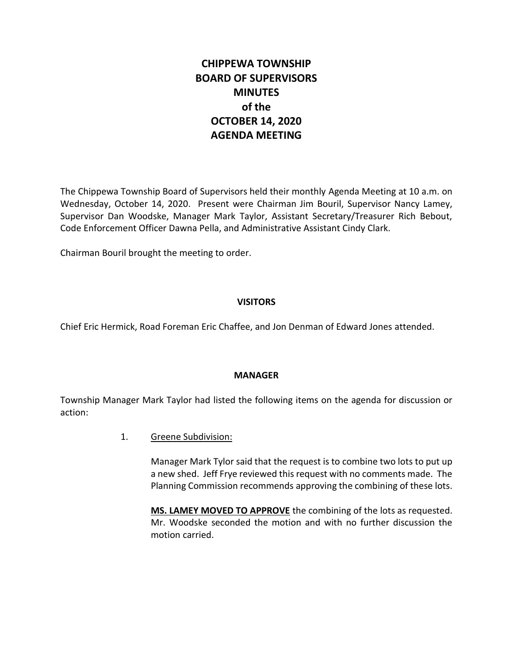# **CHIPPEWA TOWNSHIP BOARD OF SUPERVISORS MINUTES of the OCTOBER 14, 2020 AGENDA MEETING**

The Chippewa Township Board of Supervisors held their monthly Agenda Meeting at 10 a.m. on Wednesday, October 14, 2020. Present were Chairman Jim Bouril, Supervisor Nancy Lamey, Supervisor Dan Woodske, Manager Mark Taylor, Assistant Secretary/Treasurer Rich Bebout, Code Enforcement Officer Dawna Pella, and Administrative Assistant Cindy Clark.

Chairman Bouril brought the meeting to order.

## **VISITORS**

Chief Eric Hermick, Road Foreman Eric Chaffee, and Jon Denman of Edward Jones attended.

#### **MANAGER**

Township Manager Mark Taylor had listed the following items on the agenda for discussion or action:

1. Greene Subdivision:

Manager Mark Tylor said that the request is to combine two lots to put up a new shed. Jeff Frye reviewed this request with no comments made. The Planning Commission recommends approving the combining of these lots.

**MS. LAMEY MOVED TO APPROVE** the combining of the lots as requested. Mr. Woodske seconded the motion and with no further discussion the motion carried.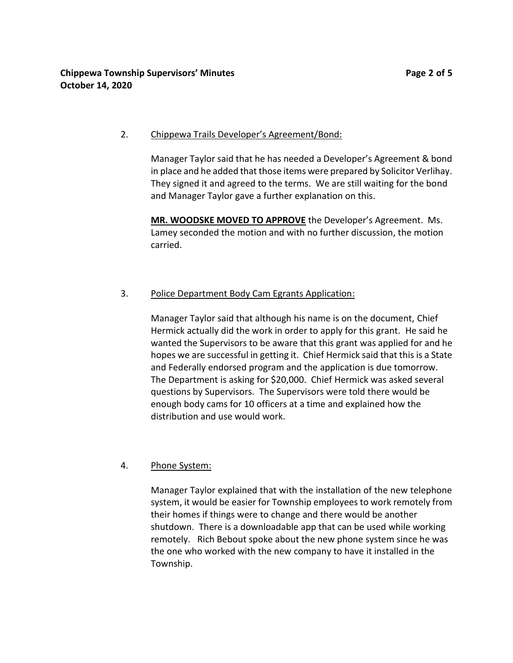## 2. Chippewa Trails Developer's Agreement/Bond:

Manager Taylor said that he has needed a Developer's Agreement & bond in place and he added that those items were prepared by Solicitor Verlihay. They signed it and agreed to the terms. We are still waiting for the bond and Manager Taylor gave a further explanation on this.

**MR. WOODSKE MOVED TO APPROVE** the Developer's Agreement. Ms. Lamey seconded the motion and with no further discussion, the motion carried.

# 3. Police Department Body Cam Egrants Application:

Manager Taylor said that although his name is on the document, Chief Hermick actually did the work in order to apply for this grant. He said he wanted the Supervisors to be aware that this grant was applied for and he hopes we are successful in getting it. Chief Hermick said that this is a State and Federally endorsed program and the application is due tomorrow. The Department is asking for \$20,000. Chief Hermick was asked several questions by Supervisors. The Supervisors were told there would be enough body cams for 10 officers at a time and explained how the distribution and use would work.

# 4. Phone System:

Manager Taylor explained that with the installation of the new telephone system, it would be easier for Township employees to work remotely from their homes if things were to change and there would be another shutdown. There is a downloadable app that can be used while working remotely. Rich Bebout spoke about the new phone system since he was the one who worked with the new company to have it installed in the Township.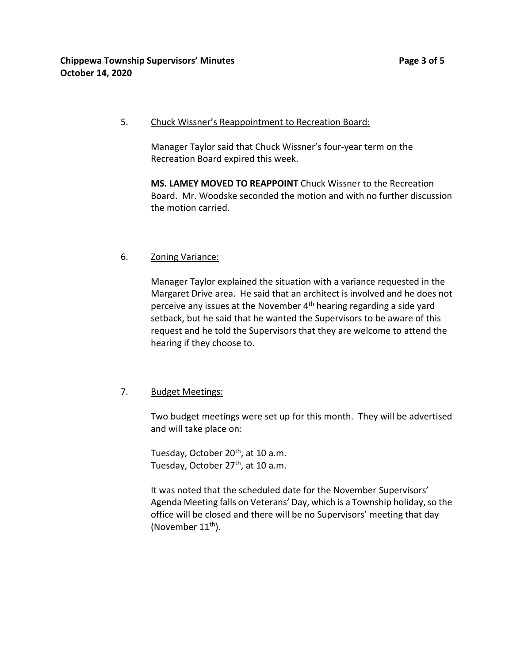5. Chuck Wissner's Reappointment to Recreation Board:

Manager Taylor said that Chuck Wissner's four-year term on the Recreation Board expired this week.

**MS. LAMEY MOVED TO REAPPOINT** Chuck Wissner to the Recreation Board. Mr. Woodske seconded the motion and with no further discussion the motion carried.

## 6. Zoning Variance:

Manager Taylor explained the situation with a variance requested in the Margaret Drive area. He said that an architect is involved and he does not perceive any issues at the November 4<sup>th</sup> hearing regarding a side yard setback, but he said that he wanted the Supervisors to be aware of this request and he told the Supervisors that they are welcome to attend the hearing if they choose to.

# 7. Budget Meetings:

Two budget meetings were set up for this month. They will be advertised and will take place on:

Tuesday, October 20<sup>th</sup>, at 10 a.m. Tuesday, October 27<sup>th</sup>, at 10 a.m.

It was noted that the scheduled date for the November Supervisors' Agenda Meeting falls on Veterans' Day, which is a Township holiday, so the office will be closed and there will be no Supervisors' meeting that day (November  $11<sup>th</sup>$ ).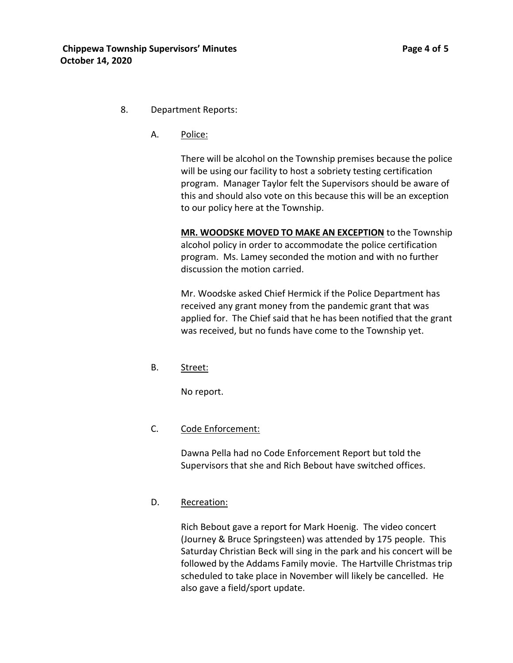#### 8. Department Reports:

A. Police:

There will be alcohol on the Township premises because the police will be using our facility to host a sobriety testing certification program. Manager Taylor felt the Supervisors should be aware of this and should also vote on this because this will be an exception to our policy here at the Township.

**MR. WOODSKE MOVED TO MAKE AN EXCEPTION** to the Township alcohol policy in order to accommodate the police certification program. Ms. Lamey seconded the motion and with no further discussion the motion carried.

Mr. Woodske asked Chief Hermick if the Police Department has received any grant money from the pandemic grant that was applied for. The Chief said that he has been notified that the grant was received, but no funds have come to the Township yet.

B. Street:

No report.

#### C. Code Enforcement:

Dawna Pella had no Code Enforcement Report but told the Supervisors that she and Rich Bebout have switched offices.

#### D. Recreation:

Rich Bebout gave a report for Mark Hoenig. The video concert (Journey & Bruce Springsteen) was attended by 175 people. This Saturday Christian Beck will sing in the park and his concert will be followed by the Addams Family movie. The Hartville Christmas trip scheduled to take place in November will likely be cancelled. He also gave a field/sport update.